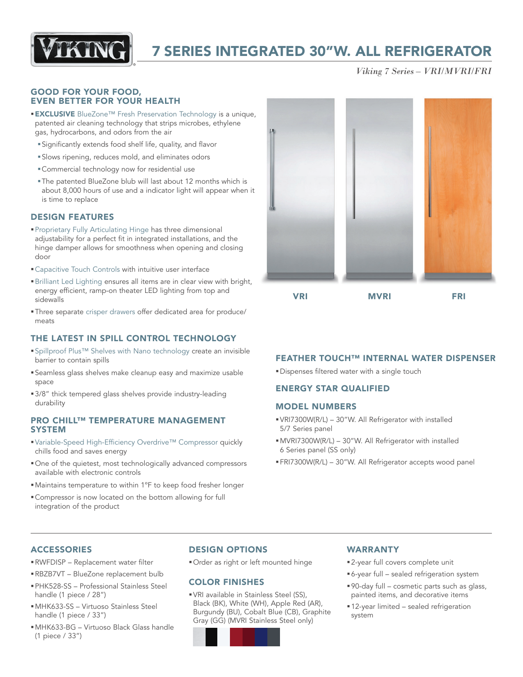

# 7 SERIES INTEGRATED 30"W. ALL REFRIGERATOR

*Viking 7 Series – VRI/MVRI/FRI*

#### GOOD FOR YOUR FOOD, EVEN BETTER FOR YOUR HEALTH

- **EXCLUSIVE** BlueZone™ Fresh Preservation Technology is a unique, patented air cleaning technology that strips microbes, ethylene gas, hydrocarbons, and odors from the air
	- §Significantly extends food shelf life, quality, and flavor
	- §Slows ripening, reduces mold, and eliminates odors
	- §Commercial technology now for residential use
	- §The patented BlueZone blub will last about 12 months which is about 8,000 hours of use and a indicator light will appear when it is time to replace

#### DESIGN FEATURES

- §Proprietary Fully Articulating Hinge has three dimensional adjustability for a perfect fit in integrated installations, and the hinge damper allows for smoothness when opening and closing door
- Capacitive Touch Controls with intuitive user interface
- §Brilliant Led Lighting ensures all items are in clear view with bright, energy efficient, ramp-on theater LED lighting from top and sidewalls
- §Three separate crisper drawers offer dedicated area for produce/ meats

### THE LATEST IN SPILL CONTROL TECHNOLOGY

- ■Spillproof Plus™ Shelves with Nano technology create an invisible barrier to contain spills
- §Seamless glass shelves make cleanup easy and maximize usable space
- 3/8" thick tempered glass shelves provide industry-leading durability

#### PRO CHILL™ TEMPERATURE MANAGEMENT SYSTEM

- Variable-Speed High-Efficiency Overdrive™ Compressor quickly chills food and saves energy
- §One of the quietest, most technologically advanced compressors available with electronic controls
- Maintains temperature to within 1°F to keep food fresher longer
- §Compressor is now located on the bottom allowing for full integration of the product



VRI MVRI FRI

### FEATHER TOUCH™ INTERNAL WATER DISPENSER

**■Dispenses filtered water with a single touch** 

### ENERGY STAR QUALIFIED

#### MODEL NUMBERS

- §VRI7300W(R/L) 30"W. All Refrigerator with installed 5/7 Series panel
- §MVRI7300W(R/L) 30"W. All Refrigerator with installed 6 Series panel (SS only)
- §FRI7300W(R/L) 30"W. All Refrigerator accepts wood panel

### **ACCESSORIES**

- §RWFDISP Replacement water filter
- §RBZB7VT BlueZone replacement bulb
- §PHK528-SS Professional Stainless Steel handle (1 piece / 28")
- §MHK633-SS Virtuoso Stainless Steel handle (1 piece / 33")
- §MHK633-BG Virtuoso Black Glass handle (1 piece / 33")

## DESIGN OPTIONS

§Order as right or left mounted hinge

### COLOR FINISHES

§VRI available in Stainless Steel (SS), Black (BK), White (WH), Apple Red (AR), Burgundy (BU), Cobalt Blue (CB), Graphite Gray (GG) (MVRI Stainless Steel only)

### WARRANTY

- 2-year full covers complete unit
- §6-year full sealed refrigeration system
- §90-day full cosmetic parts such as glass, painted items, and decorative items
- 12-year limited sealed refrigeration system